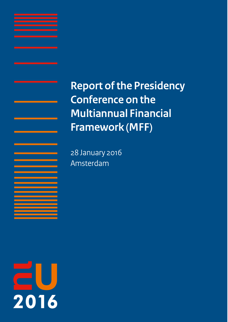**Report of the Presidency Conference on the Multiannual Financial Framework (MFF)**

28 January 2016 Amsterdam

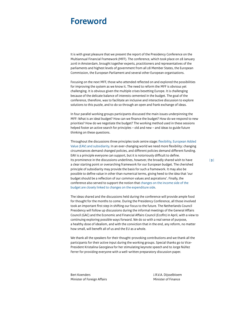## **Foreword**

It is with great pleasure that we present the report of the Presidency Conference on the Multiannual Financial Framework (MFF). The conference, which took place on 28 January 2016 in Amsterdam, brought together experts, practitioners and representatives of the parliaments and highest levels of government from all 28 Member States, the European Commission, the European Parliament and several other European organisations.

Focusing on the next MFF, those who attended reflected on and explored the possibilities for improving the system as we know it. The need to reform the MFF is obvious yet challenging. It is obvious given the multiple crises besetting Europe. It is challenging because of the delicate balance of interests cemented in the budget. The goal of the conference, therefore, was to facilitate an inclusive and interactive discussion to explore solutions to this puzzle, and to do so through an open and frank exchange of ideas.

In four parallel working groups participants discussed the main issues underpinning the MFF: What is an ideal budget? How can we finance the budget? How do we respond to new priorities? How do we negotiate the budget? The working method used in these sessions helped foster an active search for principles – old and new – and ideas to guide future thinking on these questions.

Throughout the discussions three principles took centre stage: flexibility, European Added Value (EAV) and subsidiarity. In an ever-changing world we need more flexibility: changing circumstances demand changed policies, and different policies demand different funding. EAV is a principle everyone can support, but it is notoriously difficult to define. Its prominence in the discussions underlines, however, the broadly shared wish to have a clear starting point or overarching framework for our European budget. The cherished principle of subsidiarity may provide the basis for such a framework. It may also be possible to define value in other than numerical terms, giving heed to the idea that 'our budget should be a reflection of our common values and aspirations'. Finally, the conference also served to support the notion that changes on the income side of the budget are closely linked to changes on the expenditure side.

The ideas shared and the discussions held during the conference will provide ample food for thought for the months to come. During the Presidency Conference, all those involved took an important first step in shifting our focus to the future. The Netherlands Council Presidency will follow up discussions during the informal meetings of the General Affairs Council (GAC) and the Economic and Financial Affairs Council (Ecofin) in April, with a view to continuing exploring possible ways forward. We do so with a real sense of purpose, a healthy dose of idealism, and with the conviction that in the end, any reform, no matter how small, will benefit all of us and the EU as a whole.

We thank all the speakers for their thought-provoking contributions and we thank all the participants for their active input during the working groups. Special thanks go to Vice-President Kristalina Georgieva for her stimulating keynote speech and to Jorge Núñez Ferrer for providing everyone with a well-written preparatory discussion paper.

Bert Koenders J.R.V.A. Dijsselbloem Minister of Foreign Affairs Minister of Finance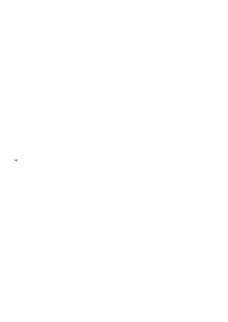| **4** |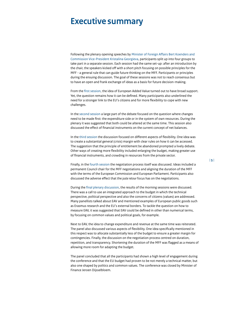## **Executive summary**

Following the plenary opening speeches by Minister of Foreign Affairs Bert Koenders and Commission Vice-President Kristalina Georgieva, participants split up into four groups to take part in a separate session. Each session had the same set-up: after an introduction by the chair, the speakers kicked off with a short pitch focusing on possible principles for the MFF - a general rule that can guide future thinking on the MFF. Participants or principles during the ensuing discussion. The goal of these sessions was not to reach consensus but to have an open and frank exchange of ideas as a basis for future decision-making.

From the first session, the idea of European Added Value turned out to have broad support. Yet, the question remains how it can be defined. Many participants also underlined the need for a stronger link to the EU's citizens and for more flexibility to cope with new challenges.

In the second session a large part of the debate focused on the question where changes need to be made first: the expenditure side or in the system of own resources. During the plenary it was suggested that both could be altered at the same time. This session also discussed the effect of financial instruments on the current concept of net balances.

In the third session the discussion focused on different aspects of flexibility. One idea was to create a substantial general (crisis) margin with clear rules on how it can be accessed. The suggestion that the principle of entitlement be abandoned prompted a lively debate. Other ways of creating more flexibility included enlarging the budget, making greater use of financial instruments, and crowding in resources from the private sector.

Finally, in the fourth session the negotiation process itself was discussed. Ideas included a permanent Council chair for the MFF negotiations and aligning the duration of the MFF with the terms of the European Commission and European Parliament. Participants also discussed the adverse effect that the *juste retour* focus has on the negotiations.

During the final plenary discussion, the results of the morning sessions were discussed. There was a call to use an integrated approach to the budget in which the technical perspective, political perspective and also the concerns of citizens (values) are addressed. Many panellists talked about EAV and mentioned examples of European public goods such as Erasmus research and the EU's external borders. To tackle the question on how to measure EAV, it was suggested that EAV could be defined in other than numerical terms, by focusing on common values and political goals, for example.

Next to EAV, the idea to change expenditure and revenue at the same time was reiterated. The panel also discussed various aspects of flexibility. One idea specifically mentioned in this respect was to allocate substantially less of the budget to ensure a greater margin for contingencies. Finally, the discussion on the negotiation process centred on duration, repetition, and transparency. Shortening the duration of the MFF was flagged as a means of allowing more room for adapting the budget.

The panel concluded that all the participants had shown a high level of engagement during the conference and that the EU budget had proven to be not merely a technical matter, but also one shaped by politics and common values. The conference was closed by Minister of Finance Jeroen Dijsselbloem.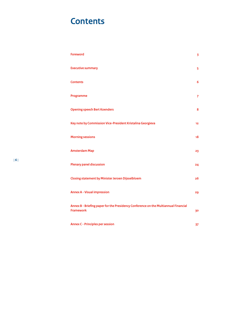## **Contents**

| <b>Foreword</b>                                                                                         | 3              |
|---------------------------------------------------------------------------------------------------------|----------------|
| <b>Executive summary</b>                                                                                | 5              |
| <b>Contents</b>                                                                                         | 6              |
| Programme                                                                                               | $\overline{7}$ |
| <b>Opening speech Bert Koenders</b>                                                                     | 8              |
| Key note by Commission Vice-President Kristalina Georgieva                                              | 12             |
| <b>Morning sessions</b>                                                                                 | 18             |
| <b>Amsterdam Map</b>                                                                                    | 23             |
| <b>Plenary panel discussion</b>                                                                         | 24             |
| <b>Closing statement by Minister Jeroen Dijsselbloem</b>                                                | 26             |
| <b>Annex A - Visual impression</b>                                                                      | 29             |
| Annex B - Briefing paper for the Presidency Conference on the Multiannual Financial<br><b>Framework</b> | 30             |
| <b>Annex C - Principles per session</b>                                                                 | 37             |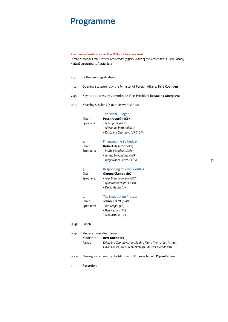## **Programme**

#### **Presidency Conference on the MFF - 28 January 2016**

*Location: Marine Etablissement Amsterdam (official venue of the Netherlands EU Presidency), Kattenburgerstraat 7, Amsterdam*

| 8:30  | Coffee and registration                          |                                                                                                                                              |  |  |  |
|-------|--------------------------------------------------|----------------------------------------------------------------------------------------------------------------------------------------------|--|--|--|
| 9:30  |                                                  | Opening statement by the Minister of Foreign Affairs, Bert Koenders                                                                          |  |  |  |
| 9:45  |                                                  | Keynote address by Commission Vice-President <b>Kristalina Georgieva</b>                                                                     |  |  |  |
| 10:15 |                                                  | Morning sessions (4 parallel workshops)                                                                                                      |  |  |  |
|       | 1.<br>Chair:<br>Speakers:                        | The 'Ideal' Budget<br>Peter Javorčik (SLK)<br>- Jens Spahn (GER)<br>- Alexander Pechtold (NL)<br>- Kristalina Georgieva (VP CION)            |  |  |  |
|       | $\overline{2}$ .<br>Chair:<br>Speakers:          | Financing the EU budget<br>Robert de Groot (NL)<br>- Mario Monti (HLGOR)<br>- Janusz Lewandowski (EP)<br>- Jorge Núñez Ferrer (CEPS)         |  |  |  |
|       | 3.<br>Chair:<br>Speakers:                        | <b>Responding to New Priorities</b><br>George Ciamba (RO)<br>- Alex Brenninkmeijer (ECA)<br>- Jyrki Katainen (VP CION)<br>- David Gauke (UK) |  |  |  |
|       | 4.<br>Chair:<br>Speakers:                        | The Negotiation Process<br>Johan Krafft (SWE)<br>- Jan Gregor (CZ)<br>- Ben Knapen (NL)<br>- Jean Arthuis (EP)                               |  |  |  |
| 12:45 | Lunch                                            |                                                                                                                                              |  |  |  |
| 13:45 | Plenary panel discussion<br>Moderator:<br>Panel: | <b>Bert Koenders</b><br>Kristalina Georgieva, Jens Spahn, Mario Monti, Jean Arthuis,<br>David Gauke, Alex Brenninkmeijer, Janusz Lewandowski |  |  |  |
| 15:00 |                                                  | Closing statement by the Minister of Finance Jeroen Dijsselbloem                                                                             |  |  |  |
| 15:15 | Reception                                        |                                                                                                                                              |  |  |  |

| **7** |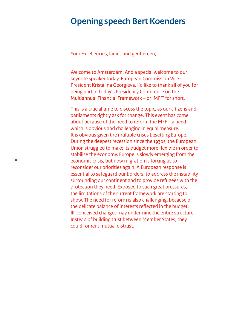## **Opening speech Bert Koenders**

Your Excellencies, ladies and gentlemen,

Welcome to Amsterdam. And a special welcome to our keynote speaker today, European Commission Vice-President Kristalina Georgieva. I'd like to thank all of you for being part of today's Presidency Conference on the Multiannual Financial Framework – or 'MFF' for short.

This is a crucial time to discuss the topic, as our citizens and parliaments rightly ask for change. This event has come about because of the need to reform the MFF – a need which is obvious and challenging in equal measure. It is obvious given the multiple crises besetting Europe. During the deepest recession since the 1930s, the European Union struggled to make its budget more flexible in order to stabilise the economy. Europe is slowly emerging from the economic crisis, but now migration is forcing us to reconsider our priorities again. A European response is essential to safeguard our borders, to address the instability surrounding our continent and to provide refugees with the protection they need. Exposed to such great pressures, the limitations of the current framework are starting to show. The need for reform is also challenging, because of the delicate balance of interests reflected in the budget. Ill-conceived changes may undermine the entire structure. Instead of building trust between Member States, they could foment mutual distrust.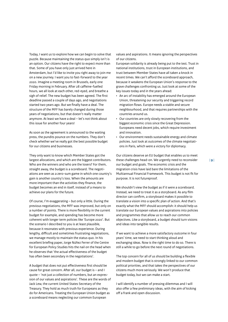Today, I want us to explore how we can begin to solve that puzzle. Because maintaining the status quo simply isn't is an option. Our citizens have the right to expect more than that. Some of you have only just arrived here in Amsterdam, but I'd like to invite you right away to join me on a new journey. I want you to fast-forward to the year 2020. Imagine a meeting room in Brussels, early one Friday morning in February. After 28 caffeine-fuelled hours, we all look at each other, red-eyed, and breathe a sigh of relief. The new budget has been agreed. The first deadline passed a couple of days ago, and negotiations started two years ago. But we finally have a deal. The structure of the MFF has barely changed during those years of negotiations, but that doesn't really matter anymore. At least we have a deal – let's not think about this issue for another four years!

As soon as the agreement is announced to the waiting press, the pundits pounce on the numbers. They don't check whether we've really got the best possible budget for our citizens and businesses.

They only want to know which Member States got the largest allocations, and which are the biggest contributors. Who are the winners and who are the losers? For them, straight away, the budget is a scoreboard. The negotiations are seen as a zero-sum game in which one country's gain is another country's loss. When the amounts are more important than the activities they finance, the budget becomes an end in itself, instead of a means to achieve our plans for the future.

Of course, I'm exaggerating – but only a little. During the previous negotiations, the MFF was improved, but only on a number of points. There is more flexibility in the current budget for example, and spending has become more coherent with longer term policies like 'Europe 2020'. But the scenario I described to you is at least plausible, because it resonates with previous experience. During lengthy, difficult and sometimes frustrating negotiations, we manage mostly to maintain the status quo. In his excellent briefing paper, Jorge Núñez Ferrer of the Centre for European Policy Studies hits the nail on the head when he observes that 'the actual effectiveness of the budget has often been secondary in the negotiations'.

A budget that does not put effectiveness first should be cause for great concern. After all, our budget is – and I quote – 'not just a collection of numbers, but an expression of our values and aspirations'. These are the words of Jack Lew, the current United States Secretary of the Treasury. They hold as much truth for Europeans as they do for Americans. Treating the European Union budget as a scoreboard means neglecting our common European

values and aspirations. It means ignoring the perspectives of our citizens.

European solidarity is already being put to the test. Trust in national institutions, trust in European institutions, and trust between Member States have all taken a knock in recent times. We can't afford the scoreboard approach, because it weakens the European Union's response to the grave challenges confronting us. Just look at some of the key issues today and in the years ahead:

- An arc of instability has emerged around the European Union, threatening our security and triggering record migration flows. Europe needs a stable and secure neighbourhood, and that requires partnerships with the countries around us.
- Our countries are only slowly recovering from the biggest economic crisis since the Great Depression. Europeans need decent jobs, which require investment and innovation.
- Our environment needs sustainable energy and climate policies. Just look at outcomes of the climate negotiations in Paris, which were a victory for diplomacy.

Our citizens deserve an EU budget that enables us to meet these challenges head-on. We urgently need to reconsider our budget and goals. The economic crisis and the migration crisis have laid bare the limitations of the Multiannual Financial Framework. This budget is not fit for purpose. It is not futureproof.

We shouldn't view the budget as if it were a scoreboard. Instead, we need to treat it as a storyboard. As any film director can confirm, a storyboard makes it possible to translate a vision into a specific plan of action. And that's exactly what the MFF should accomplish: it should help us translate our European values and aspirations into policies and programmes that allow us to reach our common objectives. Like a storyboard, a budget should turn visions and ideas into tangible results.

If we want to achieve a more satisfactory outcome in four years' time, we need to start thinking aloud and exchanging ideas. Now is the right time to do so. There is still a while to go before the next round of negotiations.

The top concern for all of us should be building a flexible and modern budget that is strongly linked to our common political priorities, and that takes the perspectives of our citizens much more seriously. We won't produce that budget today, but we can make a start.

I will identify a number of pressing dilemmas and I will also offer a few preliminary ideas, with the aim of kicking off a frank and open discussion.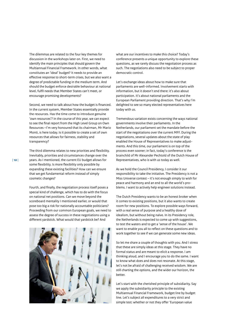The dilemmas are related to the four key themes for discussion in the workshops later on. First, we need to identify the main principles that should govern the Multiannual Financial Framework. In other words, what constitutes an 'ideal' budget? It needs to provide an effective response to short-term crises, but we also want a degree of predictable funding in the medium term. And should the budget enforce desirable behaviour at national level, fulfil needs that Member States can't meet, or encourage promising developments?

Second, we need to talk about how the budget is financed. In the current system, Member States essentially provide the resources. Has the time come to introduce genuine 'own resources'? In the course of this year, we can expect to see the final report from the High Level Group on Own Resources –I'm very honoured that its chairman, Mr Mario Monti, is here today. Is it possible to create a set of own resources that allows for fairness, stability and transparency?

The third dilemma relates to new priorities and flexibility. Inevitably, priorities and circumstances change over the years. As I mentioned, the current EU budget allows for some flexibility. Is more flexibility only possible by expanding these existing facilities? How can we ensure that we get fundamental reform instead of simply cosmetic changes?

Fourth, and finally, the negotiation process itself poses a special kind of challenge, which has to do with the focus on national net positions. Can we move beyond the scoreboard mentality I mentioned earlier, or would that pose too big a risk for nationally accountable politicians? Proceeding from our common European goals, we need to assess the degree of success in these negotiations using a different yardstick. What would that yardstick be? And



what are our incentives to make this choice? Today's conference presents a unique opportunity to explore these questions, as we rarely discuss the negotiation process as such. The negotiations also need to be subject to proper democratic control.

Let's exchange ideas about how to make sure that parliaments are well-informed. Involvement starts with information, but it doesn't end there: it's also about participation. It's about national parliaments and the European Parliament providing direction. That's why I'm delighted to see so many elected representatives here today with us.

Tremendous variation exists concerning the ways national governments involve their parliaments. In the Netherlands, our parliament set the mandate before the start of the negotiations over the current MFF. During the negotiations, several updates about the state of play enabled the House of Representatives to make adjustments. And this time, our parliament is on top of the process even sooner; in fact, today's conference is the brainchild of Mr Alexander Pechtold of the Dutch House of Representatives, who is with us today as well.

As we hold the Council Presidency, I consider it our responsibility to take the initiative. The Presidency is not a Miss Universe contest – it's not enough simply to wish for peace and harmony and an end to all the world's problems. I want to actively help engineer solutions instead.

The Dutch Presidency wants to be an honest broker when it comes to existing positions, but it also wants to create room for new positions. To explore possible ways forward, with a real sense of purpose and a healthy dose of idealism, but without being naïve. In its Presidency role, the Netherlands is expected to come up with suggestions, to test the waters and to get a 'sense of the house'. We want to enable you all to reflect on these questions and to work together to see if we can generate some new ideas.

So let me share a couple of thoughts with you. And I stress that these are simply ideas at this stage. They have no formal status and are meant to elicit a response. I am thinking aloud, and I encourage you to do the same. I want to know what does and does not resonate. At this stage, let's not be afraid of challenging received wisdom. We are still charting the options, and the wider our horizon, the better.

Let's start with the cherished principle of subsidiarity. Say we apply the subsidiarity principle to the existing Multiannual Financial Framework, budget line by budget line. Let's subject all expenditures to a very strict and simple test: whether or not they offer 'European value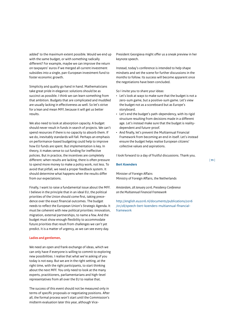added' to the maximum extent possible. Would we end up with the same budget, or with something radically different? For example, maybe we can improve the return on taxpayers' euros if we merged all current investment subsidies into a single, pan-European investment fund to foster economic growth.

Simplicity and quality go hand in hand. Mathematicians take great pride in elegance: solutions should be as succinct as possible. I think we can learn something from that ambition. Budgets that are complicated and muddled are usually lacking in effectiveness as well. So let's strive for a lean and mean MFF, because it will get us better results.

We also need to look at absorption capacity. A budget should never result in funds in search of projects. We can't spend resources if there is no capacity to absorb them. If we do, inevitably standards will fall. Perhaps an emphasis on performance-based budgeting could help to improve how EU funds are spent. But implementation is key. In theory, it makes sense to cut funding for ineffective policies. But in practice, the incentives are completely different: when results are lacking, there is often pressure to spend more money to make a policy work, not less. To avoid that pitfall, we need a proper feedback system. It should determine what happens when the results differ from our expectations.

Finally, I want to raise a fundamental issue about the MFF. I believe in the principle that in an ideal EU, the political priorities of the Union should come first, taking precedence over the exact financial outcomes. The budget needs to reflect the European Union's Strategic Agenda. It must be coherent with new political priorities: innovation, migration, external partnerships, to name a few. And the budget must show enough flexibility to accommodate future priorities that result from challenges we can't yet predict. It is a matter of urgency, as we can see every day.

#### **Ladies and gentlemen,**

We need an open and frank exchange of ideas, which we can only have if everyone is willing to commit to exploring new possibilities. I realise that what we're asking of you today is not easy. But we are in the right setting, at the right time, with the right participants, to start thinking about the next MFF. You only need to look at the many experts, practitioners, parliamentarians and high-level representatives from all over the EU to realise that.

The success of this event should not be measured only in terms of specific proposals or negotiating positions. After all, the formal process won't start until the Commission's midterm evaluation later this year, although VicePresident Georgieva might offer us a sneak preview in her keynote speech.

Instead, today's conference is intended to help shape mindsets and set the scene for further discussions in the months to follow. Its success will become apparent once the negotiations have been concluded.

So I invite you to share your ideas:

- Let's look at ways to make sure that the budget is not a zero-sum game, but a positive-sum game. Let's view the budget not as a scoreboard but as Europe's storyboard.
- Let's end the budget's path-dependency, with its rigid structure resulting from decisions made in a different age. Let's instead make sure that the budget is realitydependent and future-proof.
- And finally, let's prevent the Multiannual Financial Framework from becoming an end in itself. Let's instead ensure the budget helps realise European citizens' collective values and aspirations.

I look forward to a day of fruitful discussions. Thank you.

#### **Bert Koenders**

Minister of Foreign Affairs Ministry of Foreign Affairs, the Netherlands

*Amsterdam, 28 January 2016, Presidency Conference on the Multiannual Financial Framework*

http://english.eu2016.nl/documents/publications/2016 /01/28/speech-bert-koenders-multiannual-financialframework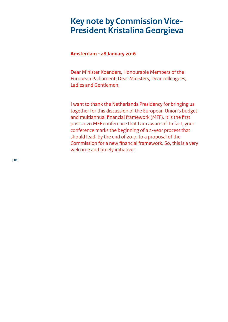## **Key note by Commission Vice-President Kristalina Georgieva**

### **Amsterdam - 28 January 2016**

Dear Minister Koenders, Honourable Members of the European Parliament, Dear Ministers, Dear colleagues, Ladies and Gentlemen,

I want to thank the Netherlands Presidency for bringing us together for this discussion of the European Union's budget and multiannual financial framework (MFF). It is the first post 2020 MFF conference that I am aware of. In fact, your conference marks the beginning of a 2-year process that should lead, by the end of 2017, to a proposal of the Commission for a new financial framework. So, this is a very welcome and timely initiative!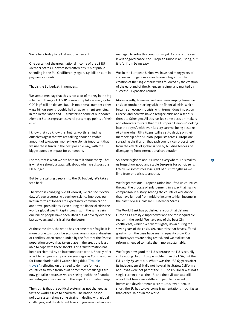We're here today to talk about one percent.

One percent of the gross national income of the 28 EU Member States. Or expressed differently, 2% of public spending in the EU. Or differently again, 144 billion euro in payments in 2016.

That is the EU budget, in numbers.

We sometimes say that this is not a lot of money in the big scheme of things – EU GDP is around 14 trillion euro, global GDP is 78 trillion dollars. But it is not a small number either – 144 billion euro is roughly half all government spending in the Netherlands and EU transfers to some of our poorer Member States represent several percentage points of their GDP.

I know that you know this, but it's worth reminding ourselves again that we are talking about a sizeable amount of taxpayers' money here. So it is important that we use these funds in the best possible way, with the biggest possible impact for our people.

For me, that is what we are here to talk about today. That is what we should always talk about when we discuss the EU budget.

But before getting deeply into the EU budget, let's take a step back.

The world is changing. We all know it, we can see it every day. We see progress, we see how science improves our lives in terms of longer life expectancy, communication and travel possibilities. Even during the financial crisis the world's global wealth kept increasing. In the same vein, one billion people have been lifted out of poverty over the last 20 years and this is all for the better.

At the same time, the world has become more fragile. It is more prone to shocks, be economic ones, natural disasters or conflicts, often compounded by the fact that the fastest population growth has taken place in the areas the least able to cope with these shocks. This transformation has been accelerated by an interconnected world. Shortly after a visit to refugees camps a few years ago, as Commissioner for Humanitarian Aid, I wrote a blog titled "Trouble travels", reflecting on the need to do more for host countries to avoid troubles at home: most challenges are now global in nature, as we are seeing it with the financial and refugees crises, and with the impact of climate change.

The truth is that the political system has not changed as fast the world it tries to deal with. The nation-based political system show some strains in dealing with global challenges, and the different levels of governance have not

managed to solve this conundrum yet. As one of the key levels of governance, the European Union is adjusting, but it is far from being easy.

We, in the European Union, we have had many years of success in bringing more and more integration: the creation of the Single Market was followed by the creation of the euro and of the Schengen regime, and marked by successful expansion rounds.

More recently, however, we have been limping from one crisis to another, starting with the financial crisis, which became an economic crisis, with tremendous impact on Greece, and now we have a refugee crisis and a serious threat to Schengen. All this has led some decision-makers and observers to state that the European Union is "looking into the abyss", with even its very survival being at stake. At a time when UK citizens' will is set to decide on their membership of this Union, populists across Europe are spreading the illusion that each country can protect itself from the effects of globalisation by building fences and disengaging from international cooperation.

So, there is gloom about Europe everywhere. This makes us forget how good and stable Europe is for our citizens. I think we sometimes lose sight of our strengths as we limp from one crisis to another.

We forget that our European Union has lifted up countries, through the process of enlargement, in a way that has no comparison in history. Among the countries worldwide that have jumped from middle-income to high income in the past 20 years, half are EU Member States.

The World Bank has published a report that defines Europe as a lifestyle superpower and the most equitable region in the world. We have one of the best Gini coefficients, which even went slightly down during the seven years of the crisis. Yet, countries that have suffered greatly from the crisis have seen inequality grow. Our welfare systems are being tested, and we realise that reform is needed to make them more sustainable.

We forget how good the EU is because the EU is actually still a young Union. Europe is older than the USA, but the EU is only 65 years old. Where was the USA 65 years after its independence? It did not have all its States: California and Texas were not part of the US. The US Dollar was not a single currency in all the US, and the civil war was still ahead. But times were different, people travelled on horses and developments were much slower then. In short, the EU has to overcome fragmentations much faster than other Unions in the world.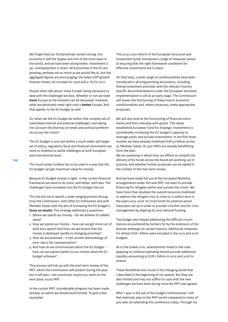We forget that our fundamentals remain strong. Our economy is still the largest and one of the most open in the world, and we have been doing better. Investment is up, unemployment is down. All economies in the EU are growing, perhaps not as much as we would like to, but the aggregate figures are encouraging: the latest GDP growth forecast shows 2% increase for 2016 and 2.1% for 2017.

People often talk about 'more Europe' being necessary to deal with the challenges we face. Whether or not we need **more** Europe at the moment can be discussed. However, what we absolutely need right now is **better** Europe. And that applies to the EU budget as well.

So, what can the EU budget do within that complex set of interlinked internal and external challenges, and taking into account the diversity of needs and political preferences across the Union?

The EU budget is one tool within a much wider and larger set of policy, regulatory, fiscal and financial instruments we need to mobilise to tackle challenges at both European and international level.

This much wider toolbox has to be used in a way that the EU budget can get maximum value for money.

Because EU budget money is tight- in the current financial framework we need to do more, and better, with less. The challenges have increased, but the EU budget has not.

This has led me to launch a wide-ranging process throughout the Commission, with other EU institutions and with Member States with the aim of increasing the EU budget's focus on results. This strategy addresses 4 questions:

- 1. Where we spend our money do we achieve EU added value?
- 2. How we spend our money how can we get more out of each euro spent? And how can we ensure that the money is deployed rapidly to changing priorities?
- 3. How we are assessed is the current methodology of error rate a fair representation?
- 4. And how do we communicate about the EU budget how can we explain better to our citizens what the EU budget achieves?

This process will link up with the mid-term review of the MFF, which the Commission will present during the year; but it will also, I am convinced, inspire our work on the next (post-2020) MFF.

In the current MFF, considerable progress has been made already, on which we should build further. To give a few examples:

The 2014-2020 reform of the European Structural and Investment funds introduced a range of measures aimed at ensuring that the right framework conditions for effective investments are in place.

On that basis, a wide range of conditionalities have been introduced in all programming documents, including linking investment priorities with the relevant Country Specific Recommendations under the European Semester. Implementation is still at an early stage. The Commission will assess the functioning of these macro-economic conditionalities and, where necessary, make appropriate proposals.

We will also look at the functioning of financial instruments and their interplay with grants. The newly established European Fund for Strategic Investments is considerably increasing the EU budget's capacity to leverage public and private investments. In the first three months we have already mobilised EUR 50 billion across 22 Member States. 81,000 SMEs are already benefitting from the plan.

We are assessing in detail how our efforts to simplify the delivery of EU funds across the board are working out in practice, and whether further proposals can be tabled in the context of the mid-term review.

And we have made full use of the increased flexibility arrangements under the new MFF, not least to provide financing for refugees within and outside the Union. We have more than doubled the overall resources mobilised to address the refugee crisis to close to 10 billion euro in the years 2015-2016. EU trust funds for external action have been set up in order to provide a further tool for crisis management by aligning EU and national funding.

The budget also helped addressing the difficult circumstances encountered by farmers hit by the extension of the Russian embargo on certain imports. Additional measures for almost EUR 1 billion were included in the 2015 and 2016 budgets.

As to the Greek crisis, amendments made to the rules applying to cohesion spending should provide additional liquidity amounting to EUR 2 billion in 2015 and 2016 to Greece.

These flexibilities are crucial in the changing world that I described in the beginning of my speech. But they are also limited and may not suffice to cope with the new challenges we have been facing since the MFF was agreed.

After 1 year in the job of the budget Commissioner I still feel relatively new to this MFF world compared to many of you who are attending this conference today. Through my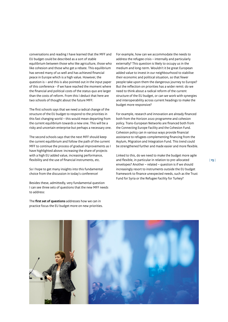conversations and reading I have learned that the MFF and EU budget could be described as a sort of stable equilibrium between those who like agriculture, those who like cohesion and those who get a rebate. This equilibrium has served many of us well and has achieved financial peace in Europe which is a high value. However, the question is – and this is also pointed out in the input paper of this conference - if we have reached the moment where the financial and political costs of the status quo are larger than the costs of reform. From this I deduct that here are two schools of thought about the future MFF:

The first schools says that we need a radical change of the structure of the EU budget to respond to the priorities in this fast changing world – this would mean departing from the current equilibrium towards a new one. This will be a risky and uncertain enterprise but perhaps a necessary one.

The second schools says that the next MFF should keep the current equilibrium and follow the path of the current MFF to continue the process of gradual improvements as I have highlighted above: increasing the share of projects with a high EU added value, increasing performance, flexibility and the use of financial instruments, etc.

So I hope to get many insights into this fundamental choice from the discussion in today's conference!

Besides these, admittedly, very fundamental question I can see three sets of questions that the new MFF needs to address:

The **first set of questions** addresses how we can in practice focus the EU budget more on new priorities.

For example, how can we accommodate the needs to address the refugee crisis – internally and particularly externally? This question is likely to occupy us in the medium and long-term. Wouldn't it be great European added value to invest in our neighbourhood to stabilise their economic and political situation, so that fewer people take upon them the dangerous journey to Europe? But the reflection on priorities has a wider remit: do we need to think about a radical reform of the current structure of the EU budget, or can we work with synergies and interoperability across current headings to make the budget more responsive?

For example, research and innovation are already financed both from the Horizon 2020 programme and cohesion policy. Trans-European Networks are financed both from the Connecting Europe Facility and the Cohesion Fund. Cohesion policy can in various ways provide financial assistance to refugees complementing financing from the Asylum, Migration and Integration Fund. This trend could be strengthened further and made easier and more flexible.

Linked to this, do we need to make the budget more agile and flexible, in particular in relation to pre-allocated envelopes? Another – related – question is if we should increasingly resort to instruments outside the EU budget framework to finance unexpected needs, such as the Trust Fund for Syria or the Refugee Facility for Turkey?

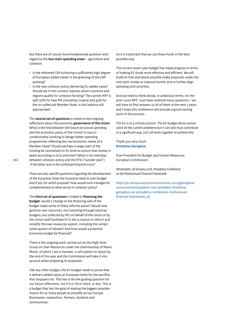But there are of course more fundamental question with regard to the **two main spending areas** – agriculture and cohesion.

- Is the reformed CAP achieving a sufficiently high degree of European added value? Is the greening of the CAP working?
- Is the new cohesion policy delivering EU added value? Should we in this context reassess which countries and regions qualify for cohesion funding? The current MFF is split 56% for new MS (including Croatia) and 44% for the so-called old Member State. Is this balance still appropriate?

The **second set of questions** is linked to the ongoing reflections about the economic **governance of the Union**: What is the link between the future structural spending and the economic policy of the Union? Is macroconditionality working to design better spending programmes reflecting the real economic needs of a Member State? Should perhaps a larger part of the funding be centralised on EU level to ensure that money is spent according to (EU) priorities? What is the interplay between cohesion policy and the EFSI ("Juncker plan") if the latter was to be continued beyond 2020?

There are also specific questions regarding the development of the Eurozone. Does the Eurozone need its own budget and if yes, for which purpose? How would such a budget be complementary to what we do in cohesion policy?

The **third set of questions** is linked to **financing the budget**: would a change to the financing side of the budget make some of these reforms easier? Would new genuine own resources, not transiting through national budgets, but collected by MS on behalf of the Union or by the Union itself facilitate it? Is this a chance to reform and simplify the own resources system, including the complicated system of rebates? And how would a potential Eurozone budget be financed?

There is the ongoing work carried out by the High-level Group on Own Resources under the chairmanship of Mario Monti, of which I am a member. It will submit its report by the end of this year and the Commission will take it into account when preparing its proposals.

Like any other budget, the EU budget needs to prove that it delivers added value (at European level) for the sacrifice that taxpayers do. This has to be the guiding question for our future reflections, not if it is 1% or more, or less. This is a budget that has the goal of making the biggest possible impact for as many people as possible across Europe. Businesses, researchers, farmers, students and communities.

So it is important that we use these funds in the best possible way.

The current seven-year budget has made progress in terms of making EU funds more effective and efficient. We will build on that and where possible make proposals under the mid-term review to improve further and to further align spending with priorities.

And we need to think ahead, in ambitious terms, for the post-2020 MFF. I just have outlined many questions – we will have to find answers to all of them in the next 2 years and I hope this conference will provide a good starting point in this process.

The EU is at a critical juncture. The EU budget alone cannot solve all the current problems but it can and must contribute in a significant way. Let's all work together to achieve this.

Thank you very much. **Kristalina Georgieva**

Vice-President for Budget and Human Resources European Commission

*Amsterdam, 28 January 2016, Presidency Conference on the Multiannual Financial Framework*

https://ec.europa.eu/commission/2014-2019/georgieva/ announcements/speech-vice-president-kristalinageorgieva-eu-presidency-conference-multiannualfinancial-framework\_en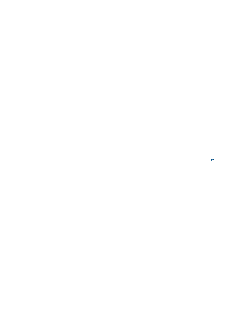| **17** |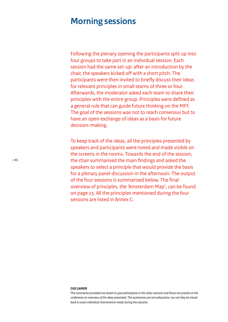## **Morning sessions**

Following the plenary opening the participants split up into four groups to take part in an individual session. Each session had the same set-up: after an introduction by the chair, the speakers kicked off with a short pitch. The participants were then invited to briefly discuss their ideas for relevant principles in small teams of three or four. Afterwards, the moderator asked each team to share their principles with the entire group. Principles were defined as a general rule that can guide future thinking on the MFF. The goal of the sessions was not to reach consensus but to have an open exchange of ideas as a basis for future decision-making.

To keep track of the ideas, all the principles presented by speakers and participants were noted and made visible on the screens in the rooms. Towards the end of the session, the chair summarised the main findings and asked the speakers to select a principle that would provide the basis for a plenary panel discussion in the afternoon. The output of the four sessions is summarised below. The final overview of principles, the 'Amsterdam Map', can be found on page 23. All the principles mentioned during the four sessions are listed in Annex C.

#### *DISCLAIMER*

*The summaries provided are meant to give participants in the other sessions and those not present at the conference an overview of the ideas presented. The summaries are not exhaustive, nor can they be traced back to exact individual interventions made during the sessions.*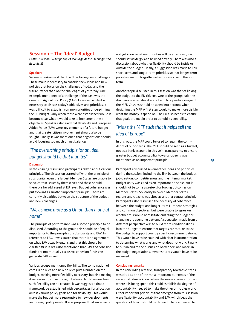#### **Session 1 – The 'Ideal' Budget**

*Central question: 'What principles should guide the EU budget and its content?'*

#### **Speakers**

Several speakers said that the EU is facing new challenges. These make it necessary to consider new ideas and new policies that focus on the challenges of today and the future, rather than on the challenges of yesterday. One example mentioned of a challenge of the past was the Common Agricultural Policy (CAP). However, while it is necessary to discuss today's objectives and priorities, it was difficult to establish common priorities underpinning the EU budget. Only when these were established would it become clear what it would take to implement these objectives. Speakers also said that flexibility and European Added Value (EAV) were key elements of a future budget and that greater citizen involvement should also be sought. Finally, it was mentioned that negotiations should avoid focusing too much on net balances.

### *"The overarching principle for an ideal budget should be that it unites"*

#### **Discussion**

In the ensuing discussion participants talked about various principles. The discussion started off with the principle of subsidiarity: even the largest Member States are unable to solve certain issues by themselves and these should therefore be addressed at EU level. Budget coherence was put forward as another important principle. There are currently disparities between the structure of the budget and new challenges.

### *"We achieve more as a Union than alone at home"*

The principle of performance was a second principle to be discussed. According to the group this should be of equal importance to the principles of subsidiarity and EAV. In reference to EAV, it was stated that there is no agreement on what EAV actually entails and that this should be clarified first. It was also mentioned that EAV and cohesion funds are not mutually exclusive; cohesion funds can generate EAV as well.

Various groups mentioned flexibility. The combination of core EU policies and new policies puts a burden on the budget, making more flexibility necessary, but also making it necessary to strike the right balance. To determine how such flexibility can be created, it was suggested that a framework be established with percentages for allocation across various policy goals and for flexibility. This would make the budget more responsive to new developments and foreign policy needs. It was proposed that since we do

not yet know what our priorities will be after 2020, we should set aside 30% to be used flexibly. There was also a discussion about whether flexibility should be inside or outside the budget. Finally, a suggestion was made to link short-term and longer-term priorities so that longer-term priorities are not forgotten when crises occur in the short term.

Another topic discussed in this session was that of linking the budget to the EU citizens. One of the groups said the discussion on rebates does not add to a positive image of the MFF. Citizens should be taken into account when designing the MFF. A first step would to make more visible what the money is spend on. The EU also needs to ensure that goals are met in order to uphold its credibility.

## *"Make the MFF such that it helps sell the idea of Europe"*

In this way, the MFF could be used to regain the confidence of our citizens. The MFF should be seen as a budget, not as a bank account. In this vein, transparency to ensure greater budget accountability towards citizens was mentioned as an important principle.

Participants discussed several other ideas and principles during the session, including the link between the budget, job creation, competitiveness and the internal market. Budget unity was cited as an important principle, but it should not become a pretext for forcing outcomes on Member States. Solidarity between Member States, regions and citizens was cited as another central principle. Participants also discussed the necessity of coherence between the budget and longer-term European strategies and common objectives, but were unable to agree on whether this would necessitate enlarging the budget or changing the spending pattern. A suggestion made from a different perspective was to build more conditionalities into the budget to ensure that targets are met, or to use the budget to support country specific recommendations. This would have to be coupled with clear instrumentation to determine what works and what does not work. Finally, to put an end to the discussion on winners and losers in the budget negotiations, own resources would have to be reviewed.

#### **Concluding remarks**

In the concluding remarks, transparency towards citizens was cited as one of the most important outcomes of the session: if citizens know where the money comes from and where it is being spent, this could establish the degree of accountability needed to make the other principles work. Other important principles that emerged from this session were flexibility, accountability and EAV, which begs the question of how it should be defined. There appeared to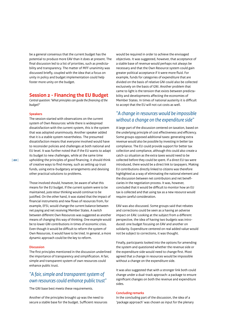be a general consensus that the current budget has the potential to produce more EAV than it does at present. The final discussion led to a list of priorities, such as predictability and transparency. The matter of MFF unanimity was discussed briefly, coupled with the idea that a focus on unity in policy and budget implementation could help foster more unity on the budget.

### **Session 2 - Financing the EU Budget**

*Central question: 'What principles can guide the financing of the budget?'*

#### **Speakers**

The session started with observations on the current system of Own Resources: while there is widespread dissatisfaction with the current system, this is the system that was adopted unanimously. Another speaker added that it is a stable system nevertheless. The presumed dissatisfaction means that everyone involved would have to reconsider policies and challenges at both national and EU level. It was further noted that if the EU wants to adapt its budget to new challenges, while at the same time upholding the principles of good financing, it should think of creative ways to find money, such as setting up trust funds, using extra-budgetary arrangements and devising other practical solutions to problems.

Those involved should, however, be aware of what this means for the EU budget. If the current system were to be maintained, *juste retour* thinking would continue to be justified. On the other hand, it was stated that the impact of financial instruments and new flows of resources from, for example, EFSI, would change the current balance between net paying and net receiving Member States. A switch between different Own Resources was suggested as another means of changing this way of thinking. One example would be to lower GNI contributions in times of economic crisis. Even though it would be difficult to reform the system of Own Resources, it would have to be tried. In general, a more dynamic approach could be the key to reform.

#### **Discussion**

The first principles mentioned in the discussion underlined the importance of transparency and simplification. A fair, simple and transparent system of own resources could enhance public trust.

## *"A fair, simple and transparent system of own resources could enhance public trust"*

The GNI base best meets these requirements.

Another of the principles brought up was the need to secure a stable base for the budget. Sufficient resources would be required in order to achieve the envisaged objectives. It was suggested, however, that acceptance of a stable base of revenue would perhaps not always be necessary and that the Own Resource system could gain greater political acceptance if it were more fluid. For example, funds for categories of expenditure that are divided on the basis of relative GNI could also be collected exclusively on the basis of GNI. Another problem that came to light is the tension that exists between predictability and developments affecting the economies of Member States. In times of national austerity it is difficult to accept that the EU will not cut costs as well.

### *"A change in resources would be impossible without a change on the expenditure side"*

A large part of the discussion centered on taxation, based on the underlying principle of cost effectiveness and efficiency. Some groups opposed additional taxes: generating extra revenue would also be possible by investing in better tax compliance. The EU could provide support for better tax collection and compliance, although this could also create a catch-22 situation as the extra taxes would need to be collected before they could be spent. If a direct EU tax were introduced, there would be a direct link to taxpayers. Making EU contributions directly linked to citizens was therefore highlighted as a way of eliminating the national element and the discussion between net contributors and net beneficiaries in the negotiation process. It was, however, concluded that it would be difficult to monitor how an EU tax is collected and that using tax as a new resource would require careful consideration.

EAV was also discussed. Some groups said that rebates and corrections could be seen as a having an adverse impact on EAV. Looking at the subject from a different perspective, the idea of having two budgets was introduced: one budget focusing on EAV and another on solidarity. Expenditure centered on real added value would not be subject to corrections, it was thought.

Finally, participants looked into the options for amending the system and questioned whether the revenue side or the expenditure side would need to change first. Most agreed that a change in resources would be impossible without a change on the expenditure side.

It was also suggested that with a stronger link both could change under a dual-track approach: a package to ensure significant changes on both the revenue and expenditure sides.

#### **Concluding remarks**

In the concluding part of the discussion, the idea of a 'package approach' was chosen as input for the plenary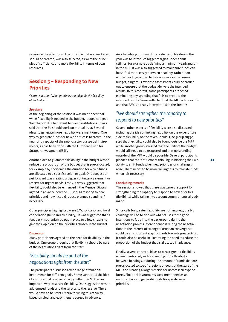session in the afternoon. The principle that no new taxes should be created, was also selected, as were the principles of sufficiency and more flexibility in terms of own resources.

### **Session 3 – Responding to New Priorities**

*Central question: 'What principles should guide the flexibility of the budget? '*

#### **Speakers**

At the beginning of the session it was mentioned that while flexibility is needed in the budget, it does not get a 'fair chance' due to distrust between institutions. It was said that the EU should work on mutual trust. Several ideas to generate more flexibility were mentioned. One way to generate funds for new priorities is to crowd-in the financing capacity of the public sector via special instruments, as has been done with the European Fund for Strategic Investment (EFSI).

Another idea to guarantee flexibility in the budget was to reduce the proportion of the budget that is pre-allocated, for example by shortening the duration for which funds are allocated to a specific region or goal. One suggestion put forward was creating a bigger contingency element or reserve for urgent needs. Lastly, it was suggested that flexibility could also be enhanced if the Member States agreed in advance how the EU should respond to new priorities and how it could reduce planned spending if necessary.

Other principles highlighted were EAV, solidarity and loyal cooperation (trust and credibility). It was suggested that a feedback mechanism be put in place to allow citizens to give their opinion on the priorities chosen in the budget.

#### **Discussion**

Many participants agreed on the need for flexibility in the budget. One group thought that flexibility should be part of the negotiations right from the start.

### *"Flexibility should be part of the negotiations right from the start"*

The participants discussed a wide range of financial instruments for different goals. Some supported the idea of a substantial reserve capacity within the MFF as an important way to secure flexibility. One suggestion was to add unused funds and the surplus to the reserve. There would have to be strict criteria for using this capacity, based on clear and easy triggers agreed in advance.

Another idea put forward to create flexibility during the year was to introduce bigger margins under annual ceilings, for example by defining a minimum yearly margin in the MFF. It was also suggested to make sure funds can be shifted more easily between headings rather than within headings alone. To free up space in the current budget, a rigorous expense assessment could be carried out to ensure that the budget delivers the intended results. In this context, some participants proposed eliminating any spending that fails to produce the intended results. Some reflected that the MFF is fine as it is and that EAV is already incorporated in the Treaties.

### *"We should strengthen the capacity to respond to new priorities"*

Several other aspects of flexibility were also discussed, including the idea of linking flexibility on the expenditure side to flexibility on the revenue side. One group suggested that flexibility could also be found outside the MFF, while another group stressed that the unity of the budget would still need to be respected and that no spending outside of the MFF would be possible. Several participants pleaded that the 'entitlement thinking' is blocking the EU's ability to shift funds when new priorities or challenges arise. There needs to be more willingness to relocate funds when it is necessary.

#### **Concluding remarks**

The session showed that there was general support for strengthening the capacity to respond to new priorities (flexibility) while taking into account commitments already made.

Since calls for greater flexibility are nothing new, the big challenge will be to find out what causes these good intentions to fade into the background during the negotiation process. More openness during the negotiations in the interest of stronger European convergence could be an important step forwards towards greater trust. It could also be useful in illustrating the need to reduce the proportion of the budget that is allocated in advance.

Finally, several concrete ideas to create greater flexibility where mentioned, such as creating more flexibility between headings, reducing the amount of funds that are pre-allocated to specific regions or goals at the start of the MFF and creating a larger reserve for unforeseen expenditures. Financial instruments were mentioned as an important way to generate funds for specific new priorities.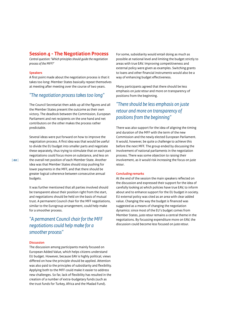#### **Session 4 - The Negotiation Process**

*Central question: 'Which principles should guide the negotiation process of the MFF?'*

#### **Speakers**

A first point made about the negotiation process is that it takes too long: Member States basically repeat themselves at meeting after meeting over the course of two years.

#### *"The negotiation process takes too long"*

The Council Secretariat then adds up all the figures and all the Member States present the outcome as their own victory. The deadlock between the Commission, European Parliament and net recipients on the one hand and net contributors on the other makes the process rather predictable.

Several ideas were put forward on how to improve the negotiation process. A first idea was that would be useful to divide the EU budget into smaller parts and negotiate these separately, thus trying to stimulate that on each part negotiations could focus more on substance, and less on the overall net position of each Member State. Another idea was that Member States should stop pushing for lower payments in the MFF, and that there should be greater logical coherence between consecutive annual budgets.

It was further mentioned that all parties involved should be transparent about their position right from the start, and negotiations should be held on the basis of mutual trust. A permanent Council chair for the MFF negotiations, similar to the Eurogroup arrangement, could help make for a smoother process.

## *"A permanent Council chair for the MFF negotiations could help make for a smoother process"*

#### **Discussion**

The discussion among participants mainly focused on European Added Value, which helps citizens understand EU budget. However, because EAV is highly political, views differed on how the principle should be applied. Attention was also paid to the principles of subsidiarity and flexibility. Applying both to the MFF could make it easier to address new challenges. So far, lack of flexibility has resulted in the creation of a number of extra-budgetary funds (such as the trust funds for Turkey, Africa and the Madad Fund).

For some, subsidiarity would entail doing as much as possible at national level and limiting the budget strictly to areas with true EAV. Improving competitiveness and external policy were given as examples. Switching grants to loans and other financial instruments would also be a way of enhancing budget effectiveness.

Many participants agreed that there should be less emphasis on *juste retour* and more on transparency of positions from the beginning.

### *"There should be less emphasis on juste retour and more on transparency of positions from the beginning"*

There was also support for the idea of aligning the timing and duration of the MFF with the term of the new Commission and the newly elected European Parliament. It would, however, be quite a challenge to achieve this before the next MFF. The group ended by discussing the involvement of national parliaments in the negotiation process. There was some objection to raising their involvement, as it would risk increasing the focus on *juste retour*.

#### **Concluding remarks**

At the end of the session the main speakers reflected on the discussion and expressed their support for the idea of carefully looking at which policies have true EAV, to inform about and to enhance support for the EU budget in society. EU external policy was cited as an area with clear added value. Changing the way the budget is financed was suggested as a means of changing the negotiation dynamics: since most of the EU's budget comes from Member States, *juste retour* remains a central theme in the negotiations. By focussing expenditure more on EAV, the discussion could become less focused on *juste retour*.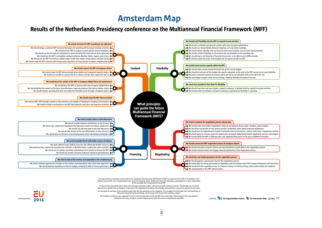# **AMSTERDAM MAP Amsterdam Map**

## **Results of the Netherlands Presidency conference on the Multiannual Financial Framework (MFF)**



This map provides an overview of the results of four workshops held during the Netherlands Presidency conference on the MFF in Amsterdam on the 28th of January 2016. Over 150 participants from across the European Union, divided over these four workshops, participated in an open conversation on the principles that could guide the future MFF.

The goal of these workshops was to have a free and open exchange of ideas, without necessarily reaching consensus. The principles do not reflect agreement on behalf of the participants, or the view of the Netherlands Presidency. The principles presented here may also be opposed to each other. This map gives an overview of the combined results from the four workshops in four categories. The complete list of principles from each workshop, as

they were shared during the workshops, can be found in the Annex to the conference report.

Considered a first step, serving as a point of departure for future discussion on improving the next MF.<br>Considered a first step, serving as a point of departure for future discussion on improving the next MF.<br>Created by: The Presidency conference was organized in order to start the discussion on the next MFF at an early stage. The principles in this map should be considered a first step, serving as a point of departure for future discussion on improving the next MFF.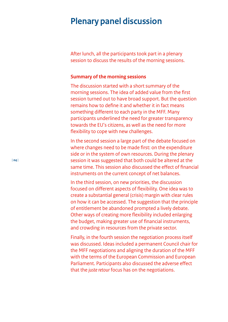## **Plenary panel discussion**

After lunch, all the participants took part in a plenary session to discuss the results of the morning sessions.

### **Summary of the morning sessions**

The discussion started with a short summary of the morning sessions. The idea of added value from the first session turned out to have broad support. But the question remains how to define it and whether it in fact means something different to each party in the MFF. Many participants underlined the need for greater transparency towards the EU's citizens, as well as the need for more flexibility to cope with new challenges.

In the second session a large part of the debate focused on where changes need to be made first: on the expenditure side or in the system of own resources. During the plenary session it was suggested that both could be altered at the same time. This session also discussed the effect of financial instruments on the current concept of net balances.

In the third session, on new priorities, the discussion focused on different aspects of flexibility. One idea was to create a substantial general (crisis) margin with clear rules on how it can be accessed. The suggestion that the principle of entitlement be abandoned prompted a lively debate. Other ways of creating more flexibility included enlarging the budget, making greater use of financial instruments, and crowding in resources from the private sector.

Finally, in the fourth session the negotiation process itself was discussed. Ideas included a permanent Council chair for the MFF negotiations and aligning the duration of the MFF with the terms of the European Commission and European Parliament. Participants also discussed the adverse effect that the *juste retour* focus has on the negotiations.

| **24** |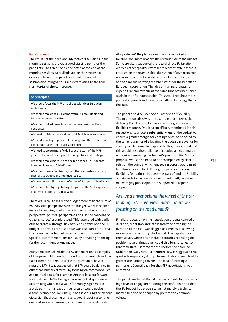#### **Panel discussion**

The results of the open and interactive discussions in the morning sessions proved a good starting point for the panellists. The ten principles selected at the end of the morning sessions were displayed on the screens for everyone to see. The panellists spent the rest of the session discussing various subjects relating to the four main topics of the conference.

#### **10 principles**

We should focus the MFF on policies with clear European Added Value.

We should make the MFF democratically accountable and transparent towards citizens.

We should not add new taxes to the own resources (fiscal neutrality).

We need sufficient value-adding and flexible own resources.

We need a package approach for changes on the revenue and expenditure sides (dual-track approach).

We need to create more flexibility at the start of the MFF process, by not allocating all the budget to specific categories.

We should make more use of flexible financial instruments based on European Added Value.

We should have a feedback system that eliminates spending that fails to achieve the intended results.

We need to establish a clear definition of European Added Value.

We should start by negotiating the goals of the MFF, expressed in terms of European Added Value.

There was a call to make the budget more than the sum of 28 individual perspectives on the budget. What is needed instead is an integrated approach in which the technical perspective, political perspective and also the concerns of citizens (values) are addressed. This resonated with earlier calls to create a stronger link between citizens and the EU budget. The political perspective was also part of the idea to streamline the budget based on the EU's Country Specific Recommendations (CSRs), by providing financing for the recommendations made.

Many panellists talked about EAV and mentioned examples of European public goods, such as Erasmus research and the EU's external borders. To tackle the question of how to measure EAV, it was suggested that EAV could be defined in other than numerical terms, by focusing on common values and political goals, for example. Another idea put forward was to define EAV by taking a rigorous look at spending and determining where most value for money is generated: a cycle path in an already affluent region would not be a good example of EAV. Finally, it was said during the plenary discussion that focusing on results would require a continuous feedback mechanism to ensure maximum added value.

Alongside EAV, the plenary discussion also looked at taxation and, more broadly, the revenue side of the budget. Some speakers supported the idea of direct EU taxation, whereas other speakers were more reticent. While there is criticism on the revenue side, the system of own resources was also mentioned as a stable flow of income for the EU and as a means of taxing member states for the benefit of European cooperation. The idea of making changes to expenditure and revenue at the same time was mentioned again in the afternoon session. This would require a more political approach and therefore a different strategy than in the past.

The panel also discussed various aspects of flexibility. The migration crisis was one example that showed the difficulty the EU currently has in providing a quick and flexible response. One idea specifically mentioned in this respect was to allocate substantially less of the budget to ensure a greater margin for contingencies, as opposed to the current practice of allocating the budget in advance for seven years to come. In response to this, it was noted that this would pose the challenge of creating a bigger margin without undermining the budget's predictability. Such a proposal would also need to be accompanied by clear rules on the point at which unused resources would need be returned or cut back. During the panel discussion, flexibility for national budgets – as part of and the Stability and Growth Pact – was also mentioned briefly as a means of leveraging public opinion in support of European cooperation.

## *Are we a driver behind the wheel of the car looking in the rearview mirror, or are we focusing on the road ahead?*

Finally, the session on the negotiation process centred on duration, repetition and transparency. Shortening the duration of the MFF was flagged as a means of allowing more room for adapting the budget. The negotiations themselves, which often include countries repeating their position several times over, could also be shortened so that they start just three months before the deadline rather than two years. Furthermore, it was suggested that greater transparency during the negotiations could lead to greater trust among citizens. The idea of creating a permanent Council chair for the MFF negotiations was reiterated.

The panel concluded that all the participants had shown a high level of engagement during the conference and that the EU budget had proven to be not merely a technical matter, but also one shaped by politics and common values.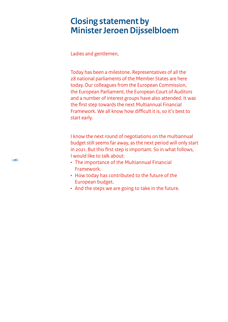## **Closing statement by Minister Jeroen Dijsselbloem**

Ladies and gentlemen,

Today has been a milestone. Representatives of all the 28 national parliaments of the Member States are here today. Our colleagues from the European Commission, the European Parliament, the European Court of Auditors and a number of interest groups have also attended. It was the first step towards the next Multiannual Financial Framework. We all know how difficult it is, so it's best to start early.

I know the next round of negotiations on the multiannual budget still seems far away, as the next period will only start in 2021. But this first step is important. So in what follows, I would like to talk about:

- The importance of the Multiannual Financial Framework.
- How today has contributed to the future of the European budget.
- And the steps we are going to take in the future.

| **26** |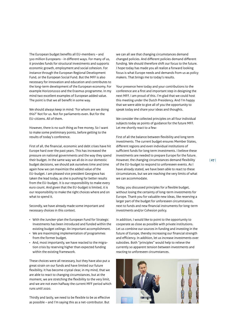The European budget benefits all EU-members – and 500 million Europeans - in different ways. For many of us, it provides funds for structural investments and supports economic growth, employment and social cohesion. For instance through the European Regional Development Fund, or the European Social Fund. But the MFF is also necessary for innovation and education and contributes to the long-term development of the European economy. For example Horizon2020 and the Erasmus programme. In my mind two excellent examples of European added value. The point is that we all benefit in some way.

We should always keep in mind: 'For whom are we doing this?' Not for us. Not for parliaments even. But for the EU-citizens. All of them.

However, there is no such thing as free money. So I want to make some preliminary points, before getting to the results of today's conference.

First of all, the financial, economic and debt crises have hit Europe hard over the past years. This has increased the pressure on national governments and the way they spend their budget. In the same way we all do in our domestic budget decisions, we should ask ourselves time and time again how we can maximize the added value of the EU-budget. I am pleased vice president Georgieva has taken the lead today, as she is pushing for better results from the EU-budget. It is our responsibility to make every euro count. And given that the EU-budget is limited, it is our responsibility to make the right choices where and on what to spend it.

Secondly, we have already made some important and necessary choices in this context.

- With the Juncker-plan the European Fund for Strategic Investments has been introduced and funded within the existing budget ceilings: An important accomplishment.
- We are maximizing implementation of programmes from the former budget.
- And, most importantly, we have reacted to the migration crisis by reserving higher than expected funding within the existing framework.

These choices were all necessary, but they have also put a great strain on our funds and have limited our future flexibility. It has become crystal clear, in my mind, that we are able to react to changing circumstances, but at the moment, we are stretching the flexibility to the very limit, and we are not even halfway the current MFF period which runs until 2020.

Thirdly and lastly, we need to be flexible to be as effective as possible – and I'm saying this as a net-contributor. But

we can all see that changing circumstances demand changed policies. And different policies demand different funding. We should therefore shift our focus to the future. I hope today has made you all realize a forward looking focus is what Europe needs and demands from us as policy makers. That brings me to today's results.

Your presence here today and your contributions to the conference are a first and important step in designing the next MFF. I am proud of this. I'm glad that we could host this meeting under the Dutch Presidency. And I'm happy that we were able to give all of you the opportunity to speak today and share your ideas and thoughts.

We consider the collected principles on all four individual subjects today as points of guidance for the future MFF. Let me shortly react to a few:

First of all the balance between flexibility and long term investments. The current budget ensures Member States, different regions and even individual institutions of sufficient funds for long term investments. I believe these investments are needed to prepare Europe for the future. However, the changing circumstances demand flexibility of the EU-budget to respond to unforeseen events. As I have already stated, we have been able to react to these circumstances, but we are reaching the very limits of what we can accommodate.

Today, you discussed principles for a flexible budget, without losing the certainty of long-term investments for Europe. Thank you for valuable new ideas, like reserving a larger part of the budget for unforeseen circumstances, next to funds and new financial instruments for long-term investments and/or Cohesion policy.

In addition, I would like to point to the opportunity to cooperate as close as possible with private institutions. Let us combine our sources in funding and investing in the future of Europe, thereby increasing our financial strength and efficiency. In addition, let us increase investments over subsidies. Both "principles" would help to relieve the currently so apparent tension between investments and reacting to unforeseen circumstances.

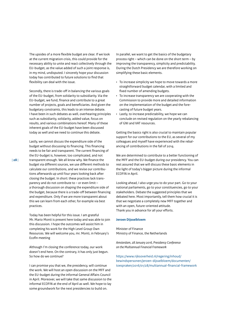The upsides of a more flexible budget are clear. If we look at the current migration crisis, this could provide for the necessary ability to unite and react collectively through the EU-budget, as the value added of such a joint response is, in my mind, undisputed. I sincerely hope your discussion today has contributed to future solutions to find that flexibility can deal with the issue.

Secondly, there is trade-off in balancing the various goals of the EU-budget, from solidarity to subsidiarity. Via the EU-budget, we fund, finance and contribute to a great number of projects, goals and beneficiaries. And given the budgetary constraints, this leads to an intense debate. I have been in such debates as well, overhearing principles such as subsidiarity, solidarity, added value, focus on results, and various combinations hereof. Many of these inherent goals of the EU-budget have been discussed today as well and we need to continue this debate.

Lastly, we cannot discuss the expenditure side of the budget without discussing its financing. This financing needs to be fair and transparent. The current financing of the EU-budget is, however, too complicated, and not transparent enough. We all know why. We finance the budget via different sources, we use different methods to calculate our contributions, and we revise our contributions afterwards up until four years looking back after closing the budget. In short: these practices lack transparency and do not contribute to – or even limit – a thorough discussion on shaping the expenditure side of the budget, because there is a trade-off between financing and expenditure. Only if we are more transparent about this we can learn from each other, for example via best practices.

Today has been helpful for this issue. I am grateful Mr. Mario Monti is present here today and was able to join this discussion. I hope the outcomes will assist him in completing his work for the High Level Group Own Resources. We will welcome you, mr. Monti, in February's Ecofin meeting

Although I'm closing the conference today, our work doesn't end here. On the contrary, it has only just begun. So how do we continue?

I can promise you that we, the presidency, will continue the work. We will host an open discussion on the MFF and the EU-budget during the informal General Affairs Council in April. Moreover, we will take that same discussion to the informal ECOFIN at the end of April as well. We hope to lay some groundwork for the next presidencies to build on.

In parallel, we want to get the basics of the budgetary process right – which can be done on the short term – by improving the transparency, simplicity and predictability. During the Dutch Presidency we are therefore working on simplifying these basic elements.

- To increase simplicity we hope to move towards a more straightforward budget calendar, with a limited and fixed number of amending budgets.
- To increase transparency we are cooperating with the Commission to provide more and detailed information on the implementation of the budget and the forecasting of future budget years.
- Lastly, to increase predictability, we hope we can conclude on revised regulation on the yearly rebalancing of GNI and VAT resources.

Getting the basics right is also crucial to maintain popular support for our contributions to the EU, as several of my colleagues and myself have experienced with the rebalancing of contributions in the fall of 2014.

We are determined to contribute to a better functioning of the MFF and the EU-budget during our presidency. You can rest assured that we will discuss these basic elements in the light of today's bigger picture during the informal ECOFIN in April.

Looking ahead, I also urge you to do your part. Go to your national parliaments, go to your constituencies, go to your stakeholders. Debate the suggested principles that we debated here. Most importantly, tell them how crucial it is that we negotiate a completely new MFF together and with an open, future-oriented attitude. Thank you in advance for all your efforts.

#### **Jeroen Dijsselbloem**

Minister of Finance Ministry of Finance, the Netherlands

*Amsterdam, 28 January 2016, Presidency Conference on the Multiannual Financial Framework*

https://www.rijksoverheid.nl/regering/inhoud/ bewindspersonen/jeroen-dijsselbloem/documenten/ toespraken/2016/01/28/multiannual-financial-framework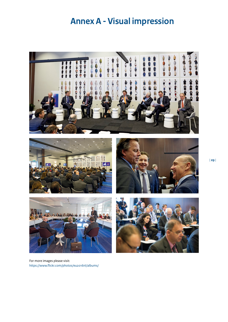# **Annex A - Visual impression**



For more images please visit: https://www.flickr.com/photos/eu2016nl/albums/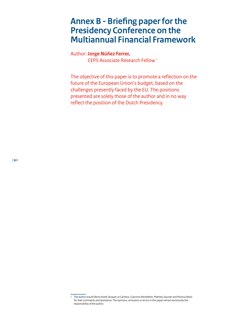## **Annex B - Briefing paper for the Presidency Conference on the Multiannual Financial Framework**

Author: **Jorge Núñez Ferrer,**

CEPS Associate Research Fellow 1

The objective of this paper is to promote a reflection on the future of the European Union's budget, based on the challenges presently faced by the EU. The positions presented are solely those of the author and in no way reflect the position of the Dutch Presidency.

| **30** |

<sup>1</sup> The author would like to thank Jacques Le Cacheux, Giacomo Benedetto, Mathieu Saunier and Monica Alessi for their comments and assistance. The opinions, omissions or errors in this paper remain exclusively the responsibility of the author.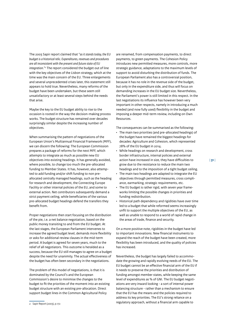The 2003 Sapir report claimed that *"as it stands today, the EU budget is a historical relic. Expenditures, revenues and procedures are all inconsistent with the present and future state of EU integration."*<sup>2</sup> The report considered the budget out of line with the key objectives of the Lisbon strategy, which at the time was the main concern of the EU. Three enlargements and several unprecedented crises later, this statement still appears to hold true. Nevertheless, many reforms of the budget have been undertaken, but these seem still unsatisfactory or at least several steps behind the needs that arise.

Maybe the key to the EU budget ability to rise to the occasion is rooted in the way the decision-making process works. The budget structure has remained over decades surprisingly similar despite the increasing number of objectives.

When summarising the pattern of negotiations of the European Union's Multiannual Financial Framework (MFF), we can discern the following: The European Commission prepares a package of reforms for the next MFF, which attempts to integrate as much as possible new EU objectives into existing headings. It has generally avoided, where possible, to change too much the pre-allocated funding to Member States. It has, however, also attempted to add funding and/or shift funding to non preallocated centrally managed headings, such as the heading for research and development, the Connecting Europe Facility or other internal policies of the EU, and some to external action. Net contributors subsequently demand a strict payment ceiling, while beneficiaries of the various pre-allocated budget headings defend the transfers they benefit from.

Proper negotiations then start focusing on the distribution of the pie, i.e. a net balance negotiation, based on the public money transiting to and from the EU budget. At the last stages, the European Parliament intervenes to increase the agreed budget level, demands more flexibility or asks for additional review clauses in the mid-term period. A budget is agreed for seven years, much to the relief of all negotiators. This outcome is heralded as a success, because the EU still manages to agree on a budget despite the need for unanimity. The actual effectiveness of the budget has often been secondary in the negotiations.

The problem of this model of negotiations, is that it is dominated by the Council's and the European Commission's desire to minimise the changes to the budget to fit the priorities of the moment into an existing budget structure with an existing pre-allocation. Direct support budget lines in the Common Agricultural Policy

are renamed, from compensation payments, to direct payments, to green payments. The Cohesion Policy introduces new permitted measures, more controls, more strategic guidance, adaptations to the maximum levels of support to avoid disturbing the distribution of funds. The European Parliament also has a controversial position, because it has no role in the revenue side of the budget, but only in the expenditure side, and thus will focus on demanding increases in the EU budget size. Nevertheless, the Parliament's power is still limited in this respect. In the last negotiations its influence has however been very important in other respects, namely in introducing a much needed (and now fully used) flexibility in the budget and imposing a deeper mid-term review, including on Own Resources.

The consequences can be summarised as the following:

- The main two priorities (and pre-allocated headings) of the budget have remained the biggest headings for decades: Agriculture and Cohesion, which represented 78% of the EU budget in 2014.
- While headings on research and development, cross border infrastructure, internal policies and external action have increased in size, they have difficulties to grow due to the resistance to reduce the main two headings and to the imposition of a tight budget ceiling.
- The main two headings are adapted to integrate the EU objectives through permitted measures, cross compliance, earmarking, strategic requirements, etc.
- The EU budget is rather rigid, with seven year frameworks limiting the possible changes in priorities and funding redistribution.
- Historical path dependency and rigidities have over time led to a budget that while reformed seems increasingly unfit to support the multiple objectives of the EU, as well as unable to respond to a world of rapid change in the areas of trade, finance and security.

On a more positive note, rigidities in the budget have led to important innovations. New financial instruments to expand the reach of the budget have been created, more flexibility has been introduced, and the quality of policies has increased.

Nevertheless, the budget has largely failed to accommodate the growing and rapidly evolving needs of the EU. The EU budget cannot be an effective financial arm of the EU if it needs to preserve the priorities and distribution of funding amongst member states, while keeping the same level of expenditures as % of GNI. The EU budget negotiations are very inward looking - a sort of internal power balancing structure - rather than a mechanism to ensure that the EU has the means and the policies required to address its key priorities. The EU's strong reliance on a regulatory approach, without a financial arm capable to

<sup>2</sup> Sapir Report (2003), p.172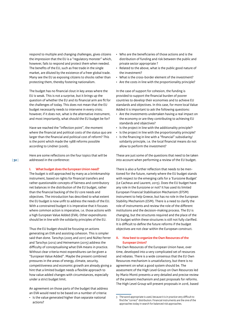respond to multiple and changing challenges, gives citizens the impression that the EU is a "regulatory monster" which, however, fails to respond and protect them when needed. The benefits of the EU, such as free trade in the single market, are diluted by the existence of a freer global trade. Many see the EU as exposing citizens to shocks rather than protecting them, thereby fostering nationalism.

The budget has no financial clout in key areas where the EU is weak. This is not a surprise, but it brings up the question of whether the EU and its financial arm are fit for the challenges of today. This does not mean that the EU budget necessarily needs to intervene in every crisis; however, if it does not, what is the alternative instrument, and most importantly, what should the EU budget be for?

Have we reached the "inflection point", the moment where the financial and political costs of the status quo are larger than the financial and political cost of reform? This is the point which made the 1988 reforms possible according to Lindner (2006).

Here are some reflections on the four topics that will be addressed in the conference:

#### **I. What budget does the European Union need?**

The budget is still approached by many as a brinkmanship instrument, based on rights for financial transfers and rather questionable concepts of fairness and contributory net balances in the distribution of the EU budget, rather than the financial backing of the EU core needs and objectives. The introduction has described to what extent the EU budget is now unfit to address the needs of the EU. With a constrained budget it is imperative that it focuses where common action is imperative, i.e. those actions with a high European Value Added (EVA). Other expenditures should be in line with the solidarity principles of the EU.

Thus the EU budget should be focusing on actions generating an EVA and assisting cohesion. This is simpler said than done. Tarschys (2005 and 2011) and Núñez Ferrer and Tarschys (2012) and Heinemann (2015) address the difficulty of conceptualising what EVA means in practice. Without clear criteria most expenditures can be given a "European Value Added". Maybe the present combined pressures in the areas of energy, climate, security, competitiveness and economic growth are already giving a hint that a limited budget needs a flexible approach to how value added changes with circumstances, especially under a strict budget limit.

An agreement on those parts of the budget that address an EVA would need to be based on a number of criteria:

• Is the value generated higher than separate national actions?

- Who are the beneficiaries of those actions and is the distribution of funding and risk between the public and private sector appropriate ?
- Related to the above, what is the public good nature of the investment?
- What is the cross-border element of the investment?
- Are the costs in line with the proportionality principle?

In the case of support for cohesion, the funding is provided to support the financial burden of poorer countries to develop their economies and to achieve EU standards and objectives. In this case, for more local Value Added it is important to ask the following questions:

- Are the investments undertaken having a real impact on the economy or are they contributing to achieving EU standards and objectives?
- $\cdot$  Is the project in line with the additionality principle?<sup>3</sup>
- Is the project in line with the proportionality principle?
- Is the financing in line with a "financial" subsidiarity/ solidarity principle, i.e. the local financial means do not allow to perform the investment?

These are just some of the questions that need to be taken into account when performing a review of the EU budget.

There is also a further reflection that needs to be mentioned for the future, namely where the EU budget stands with respect to the emerging calls for a 'Eurozone Budget' (Le Cacheux and Laurent, 2015). Does the EU budget have any role in the Eurozone or not? It has used its limited European Financial Stabilisation Mechanism (EFSM) instrument to help Greece, but has no role in the European Stability Mechanism (ESM). There is a need to clarify the role of instruments and review the role of the different institutions and the decision-making process. The EU is changing, but the structures required and the place of the EU budget within these structures is still not fully clarified. It is difficult to define the future reforms if the budget objectives are not clear within the European construct.

#### **II. How best to organize the Own Resources of the European Union?**

The Own Resources of the European Union have, over time, developed into a very complicated set of resources and rebates. There is a wide consensus that the EU Own Resources mechanism is unsatisfactory, but there is no agreement on what a good system should be. The assessment of the High Level Group on Own Resources led by Mario Monti presents a very detailed and precise review of the present mechanism and past proposals for reforms. The High Level Group will present proposals in 2016, based

<sup>3</sup> The word appropriate is used, because it is in practice very difficult to find the "correct" distribution. Financial instruments are the one of the approaches today in search for balanced risk approaches.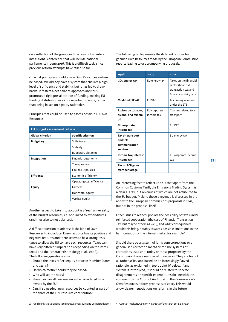on a reflection of the group and the result of an interinstitutional conference that will include national parliaments in June 2016. This is a difficult task, since previous reform attempts have failed so far.

On what principles should a new Own Resources system be based? We already have a system that ensures a high level of sufficiency and stability, but it has led to drawbacks. It fosters a net balance approach and thus promotes a rigid pre-allocation of funding, making EU funding distribution as a core negotiation issue, rather than being based on a policy rationale 4.

Principles that could be used to assess possible EU Own Resources:

| <b>EU Budget assessment criteria</b> |                             |  |  |
|--------------------------------------|-----------------------------|--|--|
| <b>Global criterion</b>              | <b>Specific criterion</b>   |  |  |
| <b>Budgetary</b>                     | Sufficiency                 |  |  |
|                                      | Stability                   |  |  |
|                                      | <b>Budgetary discipline</b> |  |  |
| Integration                          | Financial autonomy          |  |  |
|                                      | Transparency                |  |  |
|                                      | Link to EU policies         |  |  |
| <b>Efficiency</b>                    | Economic efficiency         |  |  |
|                                      | Operating cost efficiency   |  |  |
| Equity                               | Fairness                    |  |  |
|                                      | Horizontal equity           |  |  |
|                                      | Vertical equity             |  |  |

Another aspect to take into account is a 'real' universality of the budget resources, i.e. not linked to expenditures (and thus also to net balances).

A difficult question to address is the kind of Own Resources to introduce. Every resource has its positive and negative features and there seems to be a strong resistance to allow the EU to have such resources. Taxes can have very different implications depending on the items taxed and their characteristics (Begg et al., 2008). The following questions arise:

- Should the taxes reflect equity between Member States or citizens?
- On which metric should they be based?
- Who will set the rates?
- Should or can all new resources be considered fully owned by the EU?
- Can, if so needed, new resources be counted as part of the share of the GNI resource contribution?

The following table presents the different options for genuine Own Resources made by the European Commission reports leading to or accompanying proposals.

| 1998                                                       | 2004                       | 2011                                                                                          |
|------------------------------------------------------------|----------------------------|-----------------------------------------------------------------------------------------------|
| CO <sub>2</sub> energy tax                                 | EU energy tax              | Taxes on the financial<br>sector (financial<br>transaction tax and<br>financial activity tax) |
| <b>Modified EU VAT</b>                                     | <b>FUVAT</b>               | Auctioning revenues<br>under the ETS                                                          |
| Excises on tobacco,<br>alcohol and mineral<br>oil          | EU corporate<br>income tax | Charges related to air<br>transport                                                           |
| <b>EU</b> corporate<br>income tax                          |                            | EU VAT                                                                                        |
| Tax on transport<br>and tele-<br>communication<br>services |                            | EU energy tax                                                                                 |
| Income tax; interest<br>income tax                         |                            | EU corporate income<br>tax                                                                    |
| Tax on ECB gains<br>from seniorage                         |                            |                                                                                               |

An interesting fact to reflect upon is that apart from the Common Customs Tariff, the Emissions Trading System is a clear EU tax, but revenues of which are not attributed to the EU budget. Making those a revenue is discussed in the annex to the European Commissions proposals in 2011, but not in the proposal itself.

Other issues to reflect upon are the possibility of taxes under reinforced cooperation (the case of Financial Transaction Tax, but maybe others as well), and what consequences would this bring, notably towards possible limitations to the harmonisation of the internal market for example?

Should there be a system of lump sum corrections or a generalised correction mechanism? The systems of corrections used until today or those proposed by the Commission have a number of drawbacks. They are first of all rather *ad hoc* and based on an increasingly flawed rationale, as explained in topic point IV below. If any system is introduced, it should be related to specific disagreements on specific expenditures (in line with the comment by the Court of Auditors<sup>5</sup> on the Commission's Own Resources reform proposals of 2011). This would allow clearer negotiations on reforms in the future.

<sup>|</sup> **33** |

<sup>4</sup> For a highly critical analysis see Haug, Lamassoure and Verhofstadt (2011)

<sup>5</sup> Court of Auditors, Opinion No 2/2012 of 20 March 2012, point 43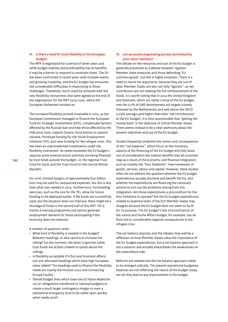#### **III. Is there a need for more flexibility in the European budget?**

The MFF is negotiated for a period of seven years and while budget stability and predictability has its benefits, it may be a barrier to respond to uncertain times. The EU has been confronted in recent years with multiple events and growing instability, and the EU budget has encountered considerable difficulties in responding to those challenges. Thankfully, much could be achieved with the new flexibility instruments that were agreed at the end of the negotiations for the MFF 2014-2020, which the European Parliament insisted on.

The increased flexibility proved invaluable in 2015, as the European Commission managed to finance the European Fund for Strategic Investments (EFSI), compensate farmers affected by the Russian ban and help those affected by the milk price crisis, support Greece, fund actions to support Ukraine, frontload funding for the Youth Employment Initiative (YEI), and raise funding for the refugee crisis. This has been an unprecedented mobilisation under the flexibility instrument. As needs exceeded the EU budget's capacity some external action activities are being financed by trust funds outside the budget, i.e. the regional Trust Fund for Syria, and the Trust Fund for the Central African Republic.

For 2016, limited margins of approximately four billion Euro may be used for unexpected expenses, but this is less than what was needed in 2015. Furthermore, frontloading exercises, such as the one for the YEI, allow for future funding to be deployed earlier. If the funds are successfully used, but the situation does not improve, there might be a shortage of funds in the second half of this MFF. YEI is mainly a training programme and cannot generate employment demand for those participating if the economy does not improve.

A number of questions arise:

- What kind of flexibility is needed in the budget? Between headings, or also options to increase the ceiling? For the moment, the latter is ignored, while trust funds are *de facto* created to spend above the ceilings.
- Is flexibility acceptable if it first and foremost affects non pre-allocated headings which have high European value added? The headings used to finance the flexibility needs are mainly the Horizon 2020 and Connecting Europe Facility.
- Should budget lines which have low EU Value Added be cut (or obligations transferred to national budgets) to create a much larger contingency margin or even a substantial emergency fund to be called upon quickly when needs arise?

#### **IV. Can we avoid a negotiating process dominated by**  *'juste-retour'* **interests?**

The debate on the resources and size of the EU budget is generally presented as a debate between 'egoistic' Member State treasuries and those defending 'EU common goods', but this is highly simplistic. There is a need to revisit the arguments, because they are out of date. Member States are also not fully "egoistic", as net contributors are not seeking the full reimbursement of the funds. It is worth noting that in 2014 the United Kingdom and Denmark, which are rather critical of the EU budget, met the 0,7% of GNP development aid targets (closely followed by the Netherlands) and well above the OECD 0,29% average (and higher than their 'net contributions' to the EU budget). It is thus questionable that "getting the money back" is the objective of critical Member States. There seems instead to be a clear animosity about the present objectives and use of the EU budget.

Studies frequently underline the notion and consequences of the "net balances", which focus on the monetary aspects of the financing of the EU budget and fully leave out of consideration the indirect benefits that all countries reap as a result of the economic and financial integration, such as notably the "four freedoms": free movement of goods, services, labour and capital. However, these studies often do not address the question whether the EU budget expenditures actually promote and benefit the EU, and whether the expenditures are financing the necessary actions to iron out the problems arising from this integration. Are these expenditures a precondition for the four freedoms to operate? Are the EU budget expenditures related to essential tasks of the EU? Member States may disagree because the EU budget does not seem to be fit for its purpose. The EU budget's lack of prioritisation of the Justice and Home Affairs budget, for example, has de facto led to considerable negative consequences in the refugee crisis.

The net balance disputes and the rebates may well be a reflection on how Member States value the importance of the EU budget expenditures, but a net balance approach is not a solution and actually exacerbates the weaknesses on the expenditure side.

Reforms are needed and the net balance approach needs to be changed radically. The present operational budgetary balances are not reflecting the nature of the budget today, nor do they lead to any improvement in the budget.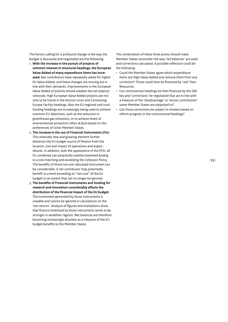The factors calling for a profound change in the way the budget is discussed and negotiated are the following:

- 1. **With the increase in the pursuit of projects of common interest in structural headings, the European Value Added of many expenditure items has increased.** Net contributors have repeatedly asked for higher EU Value Added, and these changes are moving are in line with their demands. Improvements in the European Value Added of policies should weaken the net balance rationale. High European Value Added projects are not only to be found in the Horizon 2020 and Connecting Europe Facility headings. Also the EU regional and rural funding headings are increasingly being used to achieve common EU objectives, such as the reduction in greenhouse gas emissions, or to achieve levels of environmental protection often *de facto* based on the preferences of richer Member States.
- 2. **The increase in the use of Financial Instruments (FIs):**  This relatively new and growing element further distances the EU budget source of finance from the location, size and impact of operations and expenditures. In addition, with the appearance of the EFSI, all FIs combined can potentially *mobilise investment funding*  to a size matching and exceeding the Cohesion Policy. The benefits of those non pre-allocated instrument can be considerable. A net contributor may potentially benefit to a level exceeding its "net cost" of the EU budget to an extent that can no longer be ignored.
- 3. **The benefits of Financial Instruments and funding for research and innovation considerably affects the distribution of the financial impact of the EU budget:**  The investment generated by those instruments is sizeable and cannot be ignored in calculations on the 'net returns'. Analysis of figures and evaluations show that finance mobilized by those instruments tends to be stronger in wealthier regions. Net balances are therefore becoming increasingly obsolete as a measure of the EU budget benefits to the Member States.

The combination of these three points should make Member States reconsider the way 'net balances' are used and corrections calculated. A possible reflection could be the following:

- Could the Member States agree which expenditure items are High Value Added and remove them from any correction? Those could then be financed by 'real' Own Resources.
- Can controversial headings be then financed by the GNI key and 'corrections' be negotiated that are in line with a measure of the 'disadvantage' or 'excess contribution' some Member States are subjected to?
- Can those corrections be subject to reviews based on reform progress in the controversial headings?

| **35** |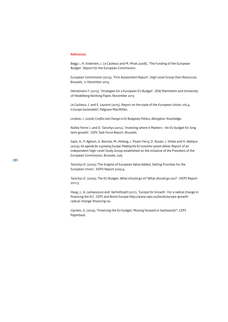#### **References**

Begg I., H. Enderlein, J. Le Cacheux and M. Mrak (2008), 'The Funding of the European Budget', Report for the European Commission.

European Commission (2014), 'First Assessment Report', High Level Group Own Resources, Brussels, 17 December 2014.

Heinemann F. (2015), 'Strategies for a European EU Budget', ZEW Mannheim and University of Heidelberg Working Paper, November 2015

Le Cacheux, J. and E. Laurent (2015), Report on the state of the European Union, vol.4, *Is Europe Sustainable?,* Palgrave MacMillan.

Lindner, J. (2006) *Conflict and Change in EU Budgetary Politics,* Abingdon: Routledge.

Núñez Ferrer J. and D. Tarschys (2012), 'Investing where it Matters – An EU budget for long term growth', CEPS Task Force Report, Brussels.

Sapir, A., P. Aghion, G. Bertola, M. Hellwig, J. Pisani-Ferry, D. Rosati, J. Viñals and H. Wallace (2003), *An agenda for a growing Europe: Making the EU economic system deliver,* Report of an independent High-Level Study Group established on the initiative of the President of the European Commission, Brussels, July.

Tarschys D. (2005),'The Enigma of European Value Added, Setting Priorities for the European Union', SIEPS Report 2005;4.

Tarschys D. (2005), The EU Budget, What should go in? What should go out?', SIEPS Report 2011;3

Haug, J., A. Lamassoure and. Verhofstadt (2011), 'Europe for Growth : For a radical change in financing the EU', CEPS and Notre Europe http://www.ceps.eu/book/europe-growthradical-change-financing-eu

Cipriani, G. (2014), 'Financing the EU budget, Moving forward or backwards?', CEPS Paperback.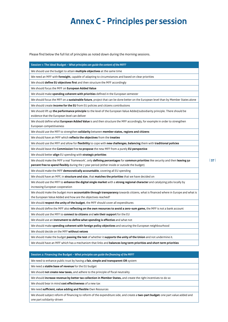## **Annex C - Principles per session**

Please find below the full list of principles as noted down during the morning sessions.

| Session 1: The Ideal Budget - What principles can guide the content of the MFF?                                                                                                                |
|------------------------------------------------------------------------------------------------------------------------------------------------------------------------------------------------|
| We should use the budget to attain multiple objectives at the same time                                                                                                                        |
| We need an MFF with <b>foresight</b> , capable of adapting to circumstances and based on clear priorities                                                                                      |
| We should define EU objectives first and then structure the MFF accordingly                                                                                                                    |
| We should focus the MFF on European Added Value                                                                                                                                                |
| We should make spending coherent with priorities defined in the European semester                                                                                                              |
| We should focus the MFF on a sustainable future, project that can be done better on the European level than by Member States alone                                                             |
| We should create <b>income for the EU</b> from EU policies and citizens contributions                                                                                                          |
| We should lift up the performance principle to the level of the European Value Added/subsidiarity principle. There should be<br>evidence that the European level can deliver                   |
| We should define what European Added Value is and then structure the MFF accordingly, for example in order to strengthen<br>European competitiveness                                           |
| We should use the MFF to strengthen solidarity between member states, regions and citizens                                                                                                     |
| We should have an MFF which reflects the objectives from the treaties                                                                                                                          |
| We should use the MFF and allow for flexibility to cope with new challenges, balancing them with traditional policies                                                                          |
| We should leave the Commission free to propose the new MFF from a purely EU perspective                                                                                                        |
| We should better align EU spending with strategic priorities                                                                                                                                   |
| We should make the MFF a real 'framework', only defining percentages for common priorities like security and then leaving 50                                                                   |
| percent free to spend flexibly during the 7 year period (either inside or outside the budget)                                                                                                  |
| We should make the MFF democratically accountable, covering all EU spending                                                                                                                    |
| We should have an MFF, in structure and size, that matches the priorities that we have decided on                                                                                              |
| We should use the MFF to enhance the digital single market with a strong regional character and catalyzing jobs locally by<br>increasing European cooperation                                  |
| We should make the budget more accountable through transparancy towards citizens, what is financed where in Europe and what is<br>the European Value Added and how are the objectives reached? |
| We should respect the unity of the budget, the MFF should cover all expenditures                                                                                                               |
| We should define the MFF also reflecting on the own resources to avoid a zero-sum game, the MFF is not a bank account                                                                          |
| We should use the MFF to connect to citizens and win their support for the EU                                                                                                                  |
| We should use an instrument to define what spending is effective and what not                                                                                                                  |
| We should make spending coherent with foreign policy objectives and securing the European neighbourhood                                                                                        |
| We should decide on the MFF without vetoes                                                                                                                                                     |
| We should make the budget passing the test of whether it supports the unity of the Union and not undermine it.                                                                                 |
| We should have an MFF which has a mechanism that links and balances long term priorities and short term priorities                                                                             |
|                                                                                                                                                                                                |
| Session 2: Financing the Budget - What principles can guide the financing of the MFF?                                                                                                          |
| We need to enhance public trust by having a fair, simple and transparent OR system                                                                                                             |

We need a **stable base of revenue** for the EU budget

We should **not create new taxes,** and adhere to the principle of fiscal neutrality

We should **increase revenue by better tax collection in Member States,** and create the right incentives to do so

We should bear in mind **cost effectiveness** of a new tax

We need **sufficient, value adding and flexible** Own Resources

We should subject reform of financing to reform of the expenditure side, and create a **two-part budget:** one part value added and one part solidarity-driven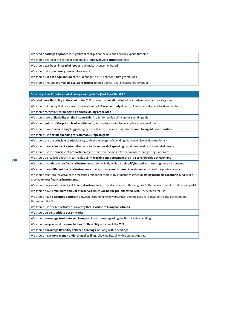We need a **package approach** for significant changes on the revenue and the expenditure side

We should get rid of the national element and **link revenue to citizens** (directly)

We should **tax 'bads' instead of 'goods'** and make it consumer based

We should take **purchasing power** into account

We should **keep the equilibrium** of the EU budget: no EU debt for future generations

We should finetune the **making available process** to the EU level (clear line assigned revenue)

**Session 3: New Priorities –** *What principles can guide the flexibility of the MFF?*

We need **more flexibility at the start** of the MFF process, by **not allocating all the budget** into specific categories

We should let money that is not used flow back into a **EU 'reserve' budget** (and not automatically back to Member States)

We should recognize that **budget size and flexibility are related**

We should look at **flexibility on the income side**, in addition to flexibility on the spending side

We should **get rid of the principle of 'entitlement'**, and replace it with for example a principle of merit

We should have **clear and easy triggers**, agreed in advance, to release funds to **respond to urgent new priorities**

We should use **flexible spending for common European goals**

We should use the **principle of subsidiarity** to clear the budget of spending that could also be done nationally

We should have a **feedback system** that leads to the **removal of spending** that doesn't realize the intended results

We should use the **principle of proportionality** to decide on the most efficient measure: budget, legislation etc.

We should be realistic about increasing flexibility, **reaching any agreement at all is a considerable achievement**

We should **introduce more financial instruments** into the MFF, while also **simplifying and harmonising** these instruments

We should have **different financial instruments** that encourage **merit-based investment,** outside of the political arena

We should take into the account the measure of financial complexity of member states, **allowing members a learning curve** when moving to **new financial instruments**

We should have a **rich diversity of financial instruments,** to be able to serve different goals ('different instruments for different goals)

We should have a **minimum amount of reserves which will not be pre-allocated,** with strict criteria for use

We should have a **balanced approach** between responding te new priorities, and the need for convergence and development throughout the EU

We should use flexible instruments in a way that is **visible to European citizens**

We should agree to **stick to our principles**

We should **encourage trust between European institutions** regarding the flexibility in spending

We should keep in mind the **possibilities for flexibility outside of the MFF**

We should **encourage flexibility between headings,** not only within headings

We should have **more margin under annual ceilings,** allowing flexibility throughout the year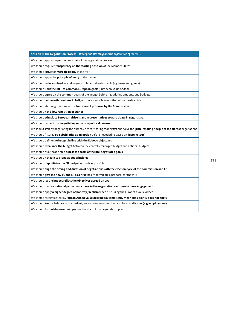| Session 4: The Negotiation Process - What principles can guide the negotiation of the MFF?                                                  |
|---------------------------------------------------------------------------------------------------------------------------------------------|
| We should appoint a <b>permanent chair</b> of the negotiation process                                                                       |
| We should require transparency on the starting position of the Member States                                                                |
| We should strive for more flexibility in the MFF                                                                                            |
| We should apply the principle of unity of the budget                                                                                        |
| We should reduce subsidies and migrate to financial instruments (eg. loans and grants)                                                      |
| We should limit the MFF to common European goals (European Value Added)                                                                     |
| We should agree on the common goals of the budget before negotiating amounts and budgets                                                    |
| We should cut negotiation time in half, e.g. only start a few months before the deadline                                                    |
| We should start negotiations with a transparent proposal by the Commission                                                                  |
| We should not allow repetition of stands                                                                                                    |
| We should stimulate European citizens and representatives to participate in negotiating                                                     |
| We should respect that negotiating remains a political process                                                                              |
| We should start by negotiating the burden / benefit sharing model first and solve the 'juste-retour' principle at the start of negotiations |
| We should first regard subsidiarity as an option before negotiating based on 'juste-retour'                                                 |
| We should define the budget in line with the EU2020 objectives                                                                              |
| We should rebalance the budget between the centrally managed budget and national budgets                                                    |
| We should as a second step assess the costs of the pre-negotiated goals                                                                     |
| We should not talk too long about principles                                                                                                |
| We should depoliticize the EU budget as much as possible                                                                                    |
| We should align the timing and duration of negotiations with the election cycle of the Commission and EP                                    |
| We should give the new EC and EP as a first task to formulate a proposal for the MFF                                                        |
| We should let the <b>budget reflect the objectives agreed</b> on upon                                                                       |
| We should involve national parliaments more in the negotiations and create more engagement                                                  |
| We should apply a higher degree of honesty / realism when discussing the European Value Added                                               |
| We should recognize that European Added Value does not automatically mean subsidiarity does not apply                                       |
| We should keep a balance in the budget, not only for economic but also for social issues (e.g. employment)                                  |
| We should <b>formulate economic goals</b> at the start of the negotiation cycle                                                             |
|                                                                                                                                             |